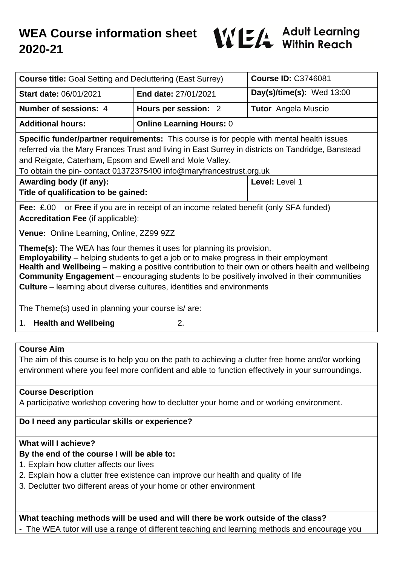

| <b>Course title: Goal Setting and Decluttering (East Surrey)</b>                                                                                                                                                                                                                                                                                                                                                                                                                                                                                                  |                                 | <b>Course ID: C3746081</b>  |
|-------------------------------------------------------------------------------------------------------------------------------------------------------------------------------------------------------------------------------------------------------------------------------------------------------------------------------------------------------------------------------------------------------------------------------------------------------------------------------------------------------------------------------------------------------------------|---------------------------------|-----------------------------|
| <b>Start date: 06/01/2021</b>                                                                                                                                                                                                                                                                                                                                                                                                                                                                                                                                     | End date: 27/01/2021            | Day(s)/time(s): Wed $13:00$ |
| <b>Number of sessions: 4</b>                                                                                                                                                                                                                                                                                                                                                                                                                                                                                                                                      | Hours per session: 2            | <b>Tutor</b> Angela Muscio  |
| <b>Additional hours:</b>                                                                                                                                                                                                                                                                                                                                                                                                                                                                                                                                          | <b>Online Learning Hours: 0</b> |                             |
| <b>Specific funder/partner requirements:</b> This course is for people with mental health issues<br>referred via the Mary Frances Trust and living in East Surrey in districts on Tandridge, Banstead<br>and Reigate, Caterham, Epsom and Ewell and Mole Valley.<br>To obtain the pin- contact 01372375400 info@maryfrancestrust.org.uk                                                                                                                                                                                                                           |                                 |                             |
| Awarding body (if any):                                                                                                                                                                                                                                                                                                                                                                                                                                                                                                                                           |                                 | Level: Level 1              |
| Title of qualification to be gained:                                                                                                                                                                                                                                                                                                                                                                                                                                                                                                                              |                                 |                             |
| or Free if you are in receipt of an income related benefit (only SFA funded)<br><b>Fee: £.00</b><br><b>Accreditation Fee (if applicable):</b>                                                                                                                                                                                                                                                                                                                                                                                                                     |                                 |                             |
| Venue: Online Learning, Online, ZZ99 9ZZ                                                                                                                                                                                                                                                                                                                                                                                                                                                                                                                          |                                 |                             |
| <b>Theme(s):</b> The WEA has four themes it uses for planning its provision.<br><b>Employability</b> – helping students to get a job or to make progress in their employment<br>Health and Wellbeing – making a positive contribution to their own or others health and wellbeing<br>Community Engagement - encouraging students to be positively involved in their communities<br><b>Culture</b> – learning about diverse cultures, identities and environments<br>The Theme(s) used in planning your course is/ are:<br><b>Health and Wellbeing</b><br>2.<br>1. |                                 |                             |
|                                                                                                                                                                                                                                                                                                                                                                                                                                                                                                                                                                   |                                 |                             |
| <b>Course Aim</b><br>The aim of this course is to help you on the path to achieving a clutter free home and/or working<br>environment where you feel more confident and able to function effectively in your surroundings.                                                                                                                                                                                                                                                                                                                                        |                                 |                             |
| <b>Course Description</b><br>A participative workshop covering how to declutter your home and or working environment.                                                                                                                                                                                                                                                                                                                                                                                                                                             |                                 |                             |
| Do I need any particular skills or experience?                                                                                                                                                                                                                                                                                                                                                                                                                                                                                                                    |                                 |                             |
| What will I achieve?<br>By the end of the course I will be able to:<br>1. Explain how clutter affects our lives<br>2. Explain how a clutter free existence can improve our health and quality of life<br>3. Declutter two different areas of your home or other environment                                                                                                                                                                                                                                                                                       |                                 |                             |
| What teaching methods will be used and will there be work outside of the class?<br>The WEA tutor will use a range of different teaching and learning methods and encourage you                                                                                                                                                                                                                                                                                                                                                                                    |                                 |                             |